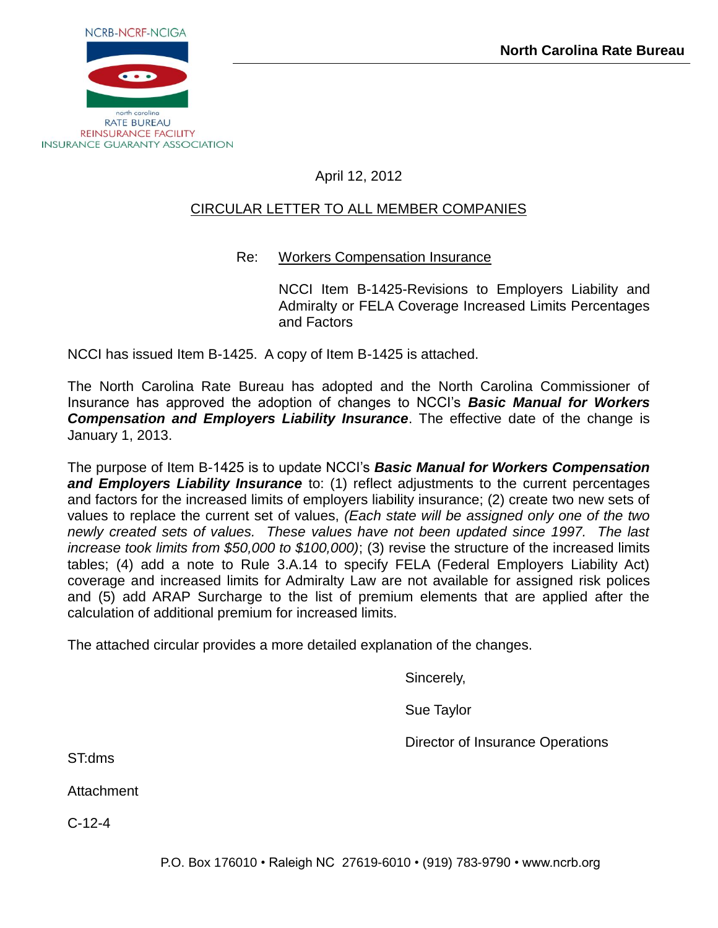

# April 12, 2012

# CIRCULAR LETTER TO ALL MEMBER COMPANIES

# Re: Workers Compensation Insurance

NCCI Item B-1425-Revisions to Employers Liability and Admiralty or FELA Coverage Increased Limits Percentages and Factors

NCCI has issued Item B-1425. A copy of Item B-1425 is attached.

The North Carolina Rate Bureau has adopted and the North Carolina Commissioner of Insurance has approved the adoption of changes to NCCI's *Basic Manual for Workers Compensation and Employers Liability Insurance*. The effective date of the change is January 1, 2013.

The purpose of Item B-1425 is to update NCCI's *Basic Manual for Workers Compensation and Employers Liability Insurance* to: (1) reflect adjustments to the current percentages and factors for the increased limits of employers liability insurance; (2) create two new sets of values to replace the current set of values, *(Each state will be assigned only one of the two newly created sets of values. These values have not been updated since 1997. The last increase took limits from \$50,000 to \$100,000)*; (3) revise the structure of the increased limits tables; (4) add a note to Rule 3.A.14 to specify FELA (Federal Employers Liability Act) coverage and increased limits for Admiralty Law are not available for assigned risk polices and (5) add ARAP Surcharge to the list of premium elements that are applied after the calculation of additional premium for increased limits.

The attached circular provides a more detailed explanation of the changes.

Sincerely,

Sue Taylor

Director of Insurance Operations

ST:dms

Attachment

C-12-4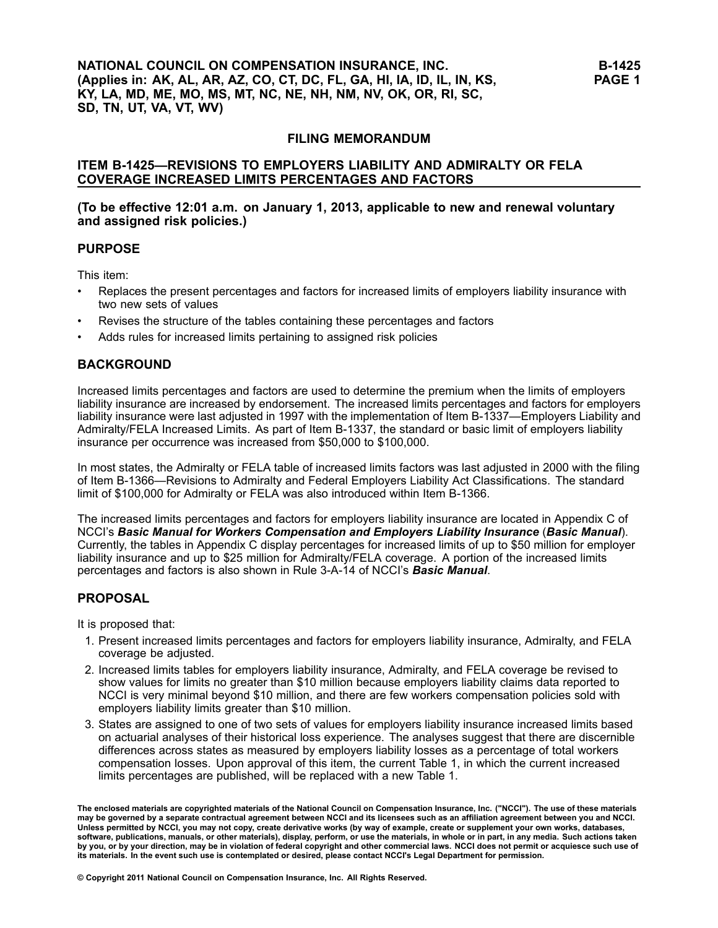### **FILING MEMORANDUM**

### **ITEM B-1425—REVISIONS TO EMPLOYERS LIABILITY AND ADMIRALTY OR FELA COVERAGE INCREASED LIMITS PERCENTAGES AND FACTORS**

### **(To be effective 12:01 a.m. on January 1, 2013, applicable to new and renewal voluntary and assigned risk policies.)**

### **PURPOSE**

This item:

- • Replaces the present percentages and factors for increased limits of employers liability insurance with two new sets of values
- •Revises the structure of the tables containing these percentages and factors
- •Adds rules for increased limits pertaining to assigned risk policies

## **BACKGROUND**

Increased limits percentages and factors are used to determine the premium when the limits of employers liability insurance are increased by endorsement. The increased limits percentages and factors for employers liability insurance were last adjusted in 1997 with the implementation of Item B-1337—Employers Liability and Admiralty/FELA Increased Limits. As part of Item B-1337, the standard or basic limit of employers liability insurance per occurrence was increased from \$50,000 to \$100,000.

In most states, the Admiralty or FELA table of increased limits factors was last adjusted in 2000 with the filing of Item B-1366—Revisions to Admiralty and Federal Employers Liability Act Classifications. The standard limit of \$100,000 for Admiralty or FELA was also introduced within Item B-1366.

The increased limits percentages and factors for employers liability insurance are located in Appendix C of NCCI's *Basic Manual for Workers Compensation and Employers Liability Insurance* (*Basic Manual*). Currently, the tables in Appendix C display percentages for increased limits of up to \$50 million for employer liability insurance and up to \$25 million for Admiralty/FELA coverage. A portion of the increased limits percentages and factors is also shown in Rule 3-A-14 of NCCI's *Basic Manual*.

## **PROPOSAL**

It is proposed that:

- 1. Present increased limits percentages and factors for employers liability insurance, Admiralty, and FELA coverage be adjusted.
- 2. Increased limits tables for employers liability insurance, Admiralty, and FELA coverage be revised to show values for limits no greater than \$10 million because employers liability claims data reported to NCCI is very minimal beyond \$10 million, and there are few workers compensation policies sold with employers liability limits greater than \$10 million.
- 3. States are assigned to one of two sets of values for employers liability insurance increased limits based on actuarial analyses of their historical loss experience. The analyses suggest that there are discernible differences across states as measured by employers liability losses as <sup>a</sup> percentage of total workers compensation losses. Upon approval of this item, the current Table 1, in which the current increased limits percentages are published, will be replaced with <sup>a</sup> new Table 1.

The enclosed materials are copyrighted materials of the National Council on Compensation Insurance, Inc. ("NCCI"). The use of these materials<br>may be governed by a separate contractual agreement between NCCI and its license Unless permitted by NCCI, you may not copy, create derivative works (by way of example, create or supplement your own works, databases, software, publications, manuals, or other materials), display, perform, or use the materials, in whole or in part, in any media. Such actions taken by you, or by your direction, may be in violation of federal copyright and other commercial laws. NCCI does not permit or acquiesce such use of its materials. In the event such use is contemplated or desired, please contact NCCI's Legal Department for permission.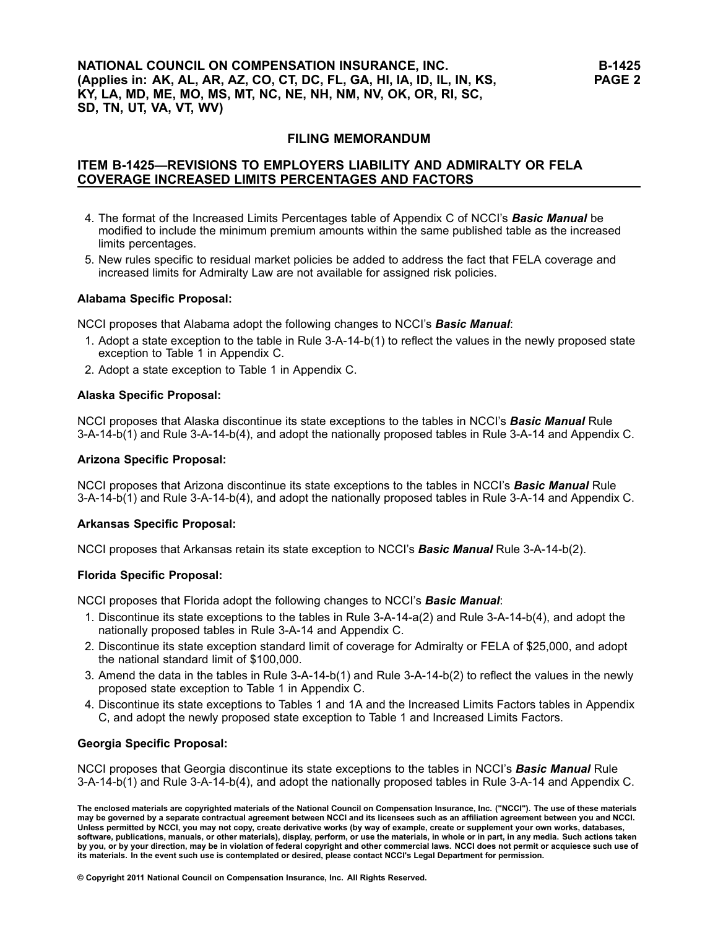### **NATIONAL COUNCIL ON COMPENSATION INSURANCE, INC. (Applies in: AK, AL, AR, AZ, CO, CT, DC, FL, GA, HI, IA, ID, IL, IN, KS, KY, LA, MD, ME, MO, MS, MT, NC, NE, NH, NM, NV, OK, OR, RI, SC, SD, TN, UT, VA, VT, WV)**

### **FILING MEMORANDUM**

## **ITEM B-1425—REVISIONS TO EMPLOYERS LIABILITY AND ADMIRALTY OR FELA COVERAGE INCREASED LIMITS PERCENTAGES AND FACTORS**

- 4. The format of the Increased Limits Percentages table of Appendix C of NCCI's *Basic Manual* be modified to include the minimum premium amounts within the same published table as the increased limits percentages.
- 5. New rules specific to residual market policies be added to address the fact that FELA coverage and increased limits for Admiralty Law are not available for assigned risk policies.

#### **Alabama Specific Proposal:**

NCCI proposes that Alabama adopt the following changes to NCCI's *Basic Manual*:

- 1. Adopt <sup>a</sup> state exception to the table in Rule 3-A-14-b(1) to reflect the values in the newly proposed state exception to Table 1 in Appendix C.
- 2. Adopt <sup>a</sup> state exception to Table 1 in Appendix C.

#### **Alaska Specific Proposal:**

NCCI proposes that Alaska discontinue its state exceptions to the tables in NCCI's *Basic Manual* Rule 3-A-14-b(1) and Rule 3-A-14-b(4), and adopt the nationally proposed tables in Rule 3-A-14 and Appendix C.

#### **Arizona Specific Proposal:**

NCCI proposes that Arizona discontinue its state exceptions to the tables in NCCI's *Basic Manual* Rule 3-A-14-b(1) and Rule 3-A-14-b(4), and adopt the nationally proposed tables in Rule 3-A-14 and Appendix C.

#### **Arkansas Specific Proposal:**

NCCI proposes that Arkansas retain its state exception to NCCI's *Basic Manual* Rule 3-A-14-b(2).

#### **Florida Specific Proposal:**

NCCI proposes that Florida adopt the following changes to NCCI's *Basic Manual*:

- 1. Discontinue its state exceptions to the tables in Rule 3-A-14-a(2) and Rule 3-A-14-b(4), and adopt the nationally proposed tables in Rule 3-A-14 and Appendix C.
- 2. Discontinue its state exception standard limit of coverage for Admiralty or FELA of \$25,000, and adopt the national standard limit of \$100,000.
- 3. Amend the data in the tables in Rule 3-A-14-b(1) and Rule 3-A-14-b(2) to reflect the values in the newly proposed state exception to Table 1 in Appendix C.
- 4. Discontinue its state exceptions to Tables 1 and 1A and the Increased Limits Factors tables in Appendix C, and adopt the newly proposed state exception to Table 1 and Increased Limits Factors.

#### **Georgia Specific Proposal:**

NCCI proposes that Georgia discontinue its state exceptions to the tables in NCCI's *Basic Manual* Rule 3-A-14-b(1) and Rule 3-A-14-b(4), and adopt the nationally proposed tables in Rule 3-A-14 and Appendix C.

The enclosed materials are copyrighted materials of the National Council on Compensation Insurance, Inc. ("NCCI"). The use of these materials may be governed by a separate contractual agreement between NCCI and its licensees such as an affiliation agreement between you and NCCI. Unless permitted by NCCI, you may not copy, create derivative works (by way of example, create or supplement your own works, databases, software, publications, manuals, or other materials), display, perform, or use the materials, in whole or in part, in any media. Such actions taken by you, or by your direction, may be in violation of federal copyright and other commercial laws. NCCI does not permit or acquiesce such use of its materials. In the event such use is contemplated or desired, please contact NCCI's Legal Department for permission.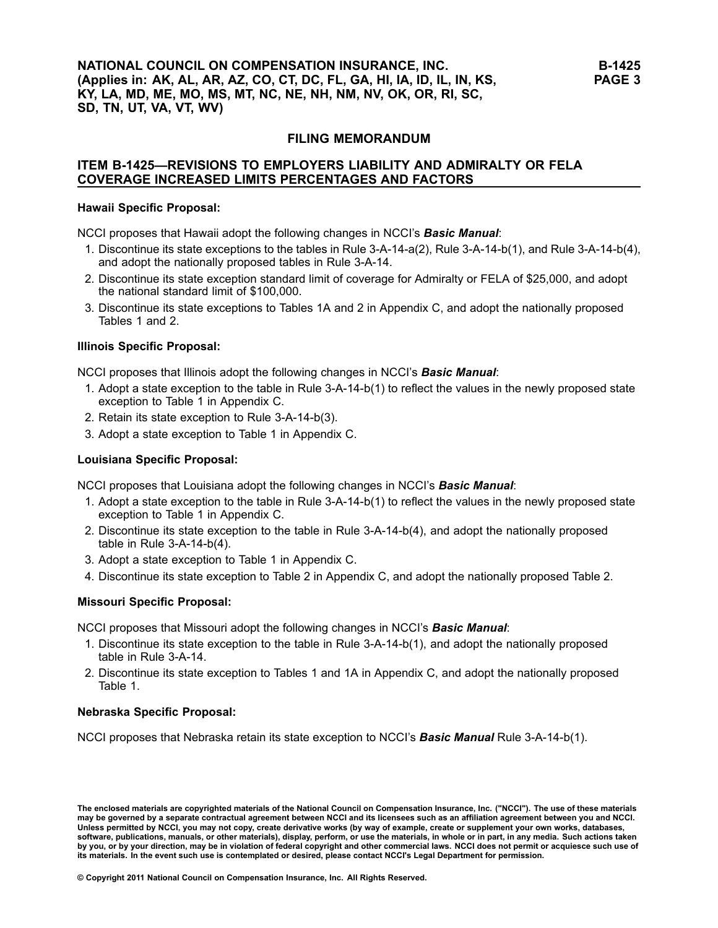### **FILING MEMORANDUM**

### **ITEM B-1425—REVISIONS TO EMPLOYERS LIABILITY AND ADMIRALTY OR FELA COVERAGE INCREASED LIMITS PERCENTAGES AND FACTORS**

#### **Hawaii Specific Proposal:**

NCCI proposes that Hawaii adopt the following changes in NCCI's *Basic Manual*:

- 1. Discontinue its state exceptions to the tables in Rule 3-A-14-a(2), Rule 3-A-14-b(1), and Rule 3-A-14-b(4), and adopt the nationally proposed tables in Rule 3-A-14.
- 2. Discontinue its state exception standard limit of coverage for Admiralty or FELA of \$25,000, and adopt the national standard limit of \$100,000.
- 3. Discontinue its state exceptions to Tables 1A and 2 in Appendix C, and adopt the nationally proposed Tables 1 and 2.

#### **Illinois Specific Proposal:**

NCCI proposes that Illinois adopt the following changes in NCCI's *Basic Manual*:

- 1. Adopt <sup>a</sup> state exception to the table in Rule 3-A-14-b(1) to reflect the values in the newly proposed state exception to Table 1 in Appendix C.
- 2. Retain its state exception to Rule 3-A-14-b(3).
- 3. Adopt <sup>a</sup> state exception to Table 1 in Appendix C.

#### **Louisiana Specific Proposal:**

NCCI proposes that Louisiana adopt the following changes in NCCI's *Basic Manual*:

- 1. Adopt <sup>a</sup> state exception to the table in Rule 3-A-14-b(1) to reflect the values in the newly proposed state exception to Table 1 in Appendix C.
- 2. Discontinue its state exception to the table in Rule 3-A-14-b(4), and adopt the nationally proposed table in Rule 3-A-14-b(4).
- 3. Adopt <sup>a</sup> state exception to Table 1 in Appendix C.
- 4. Discontinue its state exception to Table 2 in Appendix C, and adopt the nationally proposed Table 2.

#### **Missouri Specific Proposal:**

NCCI proposes that Missouri adopt the following changes in NCCI's *Basic Manual*:

- 1. Discontinue its state exception to the table in Rule 3-A-14-b(1), and adopt the nationally proposed table in Rule 3-A-14.
- 2. Discontinue its state exception to Tables 1 and 1A in Appendix C, and adopt the nationally proposed Table 1.

#### **Nebraska Specific Proposal:**

NCCI proposes that Nebraska retain its state exception to NCCI's *Basic Manual* Rule 3-A-14-b(1).

The enclosed materials are copyrighted materials of the National Council on Compensation Insurance, Inc. ("NCCI"). The use of these materials may be governed by a separate contractual agreement between NCCI and its licensees such as an affiliation agreement between you and NCCI. Unless permitted by NCCI, you may not copy, create derivative works (by way of example, create or supplement your own works, databases, software, publications, manuals, or other materials), display, perform, or use the materials, in whole or in part, in any media. Such actions taken by you, or by your direction, may be in violation of federal copyright and other commercial laws. NCCI does not permit or acquiesce such use of its materials. In the event such use is contemplated or desired, please contact NCCI's Legal Department for permission.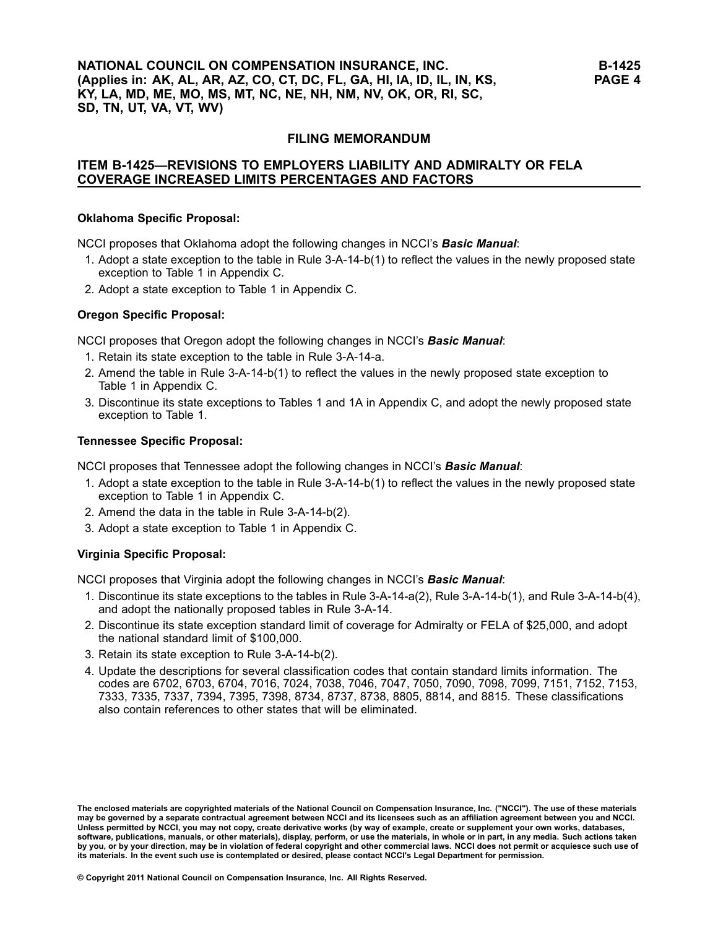### **NATIONAL COUNCIL ON COMPENSATION INSURANCE, INC. (Applies in: AK, AL, AR, AZ, CO, CT, DC, FL, GA, HI, IA, ID, IL, IN, KS, KY, LA, MD, ME, MO, MS, MT, NC, NE, NH, NM, NV, OK, OR, RI, SC, SD, TN, UT, VA, VT, WV)**

### **FILING MEMORANDUM**

## **ITEM B-1425—REVISIONS TO EMPLOYERS LIABILITY AND ADMIRALTY OR FELA COVERAGE INCREASED LIMITS PERCENTAGES AND FACTORS**

#### **Oklahoma Specific Proposal:**

NCCI proposes that Oklahoma adopt the following changes in NCCI's *Basic Manual*:

- 1. Adopt <sup>a</sup> state exception to the table in Rule 3-A-14-b(1) to reflect the values in the newly proposed state exception to Table 1 in Appendix C.
- 2. Adopt <sup>a</sup> state exception to Table 1 in Appendix C.

#### **Oregon Specific Proposal:**

NCCI proposes that Oregon adopt the following changes in NCCI's *Basic Manual*:

- 1. Retain its state exception to the table in Rule 3-A-14-a.
- 2. Amend the table in Rule 3-A-14-b(1) to reflect the values in the newly proposed state exception to Table 1 in Appendix C.
- 3. Discontinue its state exceptions to Tables 1 and 1A in Appendix C, and adopt the newly proposed state exception to Table 1.

#### **Tennessee Specific Proposal:**

NCCI proposes that Tennessee adopt the following changes in NCCI's *Basic Manual*:

- 1. Adopt <sup>a</sup> state exception to the table in Rule 3-A-14-b(1) to reflect the values in the newly proposed state exception to Table 1 in Appendix C.
- 2. Amend the data in the table in Rule 3-A-14-b(2).
- 3. Adopt <sup>a</sup> state exception to Table 1 in Appendix C.

### **Virginia Specific Proposal:**

NCCI proposes that Virginia adopt the following changes in NCCI's *Basic Manual*:

- 1. Discontinue its state exceptions to the tables in Rule 3-A-14-a(2), Rule 3-A-14-b(1), and Rule 3-A-14-b(4), and adopt the nationally proposed tables in Rule 3-A-14.
- 2. Discontinue its state exception standard limit of coverage for Admiralty or FELA of \$25,000, and adopt the national standard limit of \$100,000.
- 3. Retain its state exception to Rule 3-A-14-b(2).
- 4. Update the descriptions for several classification codes that contain standard limits information. The codes are 6702, 6703, 6704, 7016, 7024, 7038, 7046, 7047, 7050, 7090, 7098, 7099, 7151, 7152, 7153, 7333, 7335, 7337, 7394, 7395, 7398, 8734, 8737, 8738, 8805, 8814, and 8815. These classifications also contain references to other states that will be eliminated.

The enclosed materials are copyrighted materials of the National Council on Compensation Insurance, Inc. ("NCCI"). The use of these materials may be governed by a separate contractual agreement between NCCI and its licensees such as an affiliation agreement between you and NCCI. Unless permitted by NCCI, you may not copy, create derivative works (by way of example, create or supplement your own works, databases, software, publications, manuals, or other materials), display, perform, or use the materials, in whole or in part, in any media. Such actions taken by you, or by your direction, may be in violation of federal copyright and other commercial laws. NCCI does not permit or acquiesce such use of its materials. In the event such use is contemplated or desired, please contact NCCI's Legal Department for permission.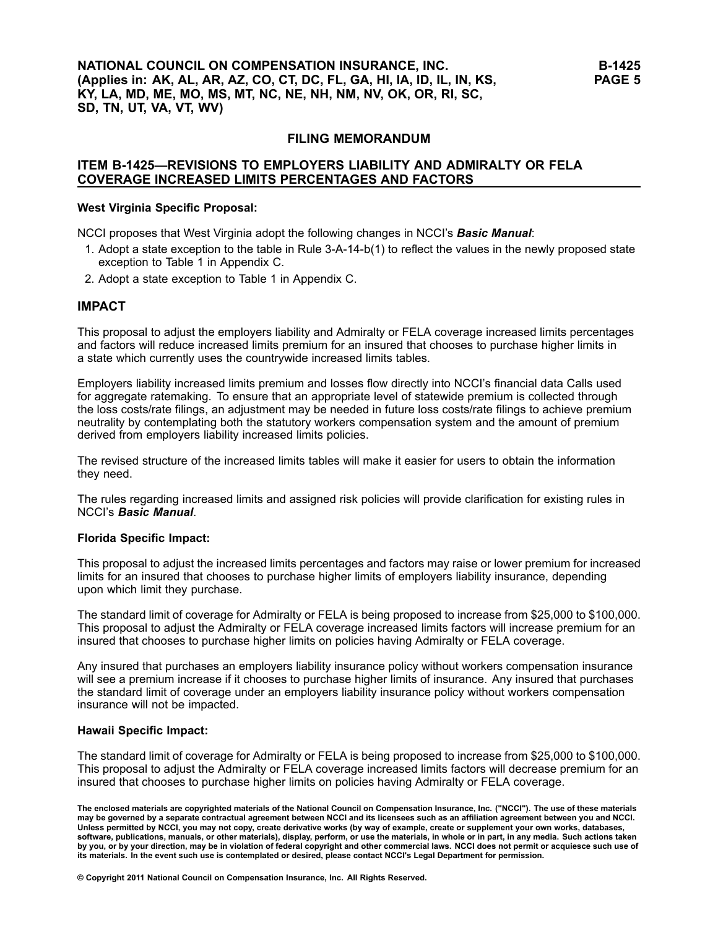### **FILING MEMORANDUM**

### **ITEM B-1425—REVISIONS TO EMPLOYERS LIABILITY AND ADMIRALTY OR FELA COVERAGE INCREASED LIMITS PERCENTAGES AND FACTORS**

#### **West Virginia Specific Proposal:**

NCCI proposes that West Virginia adopt the following changes in NCCI's *Basic Manual*:

- 1. Adopt <sup>a</sup> state exception to the table in Rule 3-A-14-b(1) to reflect the values in the newly proposed state exception to Table 1 in Appendix C.
- 2. Adopt <sup>a</sup> state exception to Table 1 in Appendix C.

#### **IMPACT**

This proposal to adjust the employers liability and Admiralty or FELA coverage increased limits percentages and factors will reduce increased limits premium for an insured that chooses to purchase higher limits in <sup>a</sup> state which currently uses the countrywide increased limits tables.

Employers liability increased limits premium and losses flow directly into NCCI's financial data Calls used for aggregate ratemaking. To ensure that an appropriate level of statewide premium is collected through the loss costs/rate filings, an adjustment may be needed in future loss costs/rate filings to achieve premium neutrality by contemplating both the statutory workers compensation system and the amount of premium derived from employers liability increased limits policies.

The revised structure of the increased limits tables will make it easier for users to obtain the information they need.

The rules regarding increased limits and assigned risk policies will provide clarification for existing rules in NCCI's *Basic Manual*.

#### **Florida Specific Impact:**

This proposal to adjust the increased limits percentages and factors may raise or lower premium for increased limits for an insured that chooses to purchase higher limits of employers liability insurance, depending upon which limit they purchase.

The standard limit of coverage for Admiralty or FELA is being proposed to increase from \$25,000 to \$100,000. This proposal to adjust the Admiralty or FELA coverage increased limits factors will increase premium for an insured that chooses to purchase higher limits on policies having Admiralty or FELA coverage.

Any insured that purchases an employers liability insurance policy without workers compensation insurance will see <sup>a</sup> premium increase if it chooses to purchase higher limits of insurance. Any insured that purchases the standard limit of coverage under an employers liability insurance policy without workers compensation insurance will not be impacted.

#### **Hawaii Specific Impact:**

The standard limit of coverage for Admiralty or FELA is being proposed to increase from \$25,000 to \$100,000. This proposal to adjust the Admiralty or FELA coverage increased limits factors will decrease premium for an insured that chooses to purchase higher limits on policies having Admiralty or FELA coverage.

The enclosed materials are copyrighted materials of the National Council on Compensation Insurance, Inc. ("NCCI"). The use of these materials may be governed by a separate contractual agreement between NCCI and its licensees such as an affiliation agreement between you and NCCI. Unless permitted by NCCI, you may not copy, create derivative works (by way of example, create or supplement your own works, databases, software, publications, manuals, or other materials), display, perform, or use the materials, in whole or in part, in any media. Such actions taken by you, or by your direction, may be in violation of federal copyright and other commercial laws. NCCI does not permit or acquiesce such use of its materials. In the event such use is contemplated or desired, please contact NCCI's Legal Department for permission.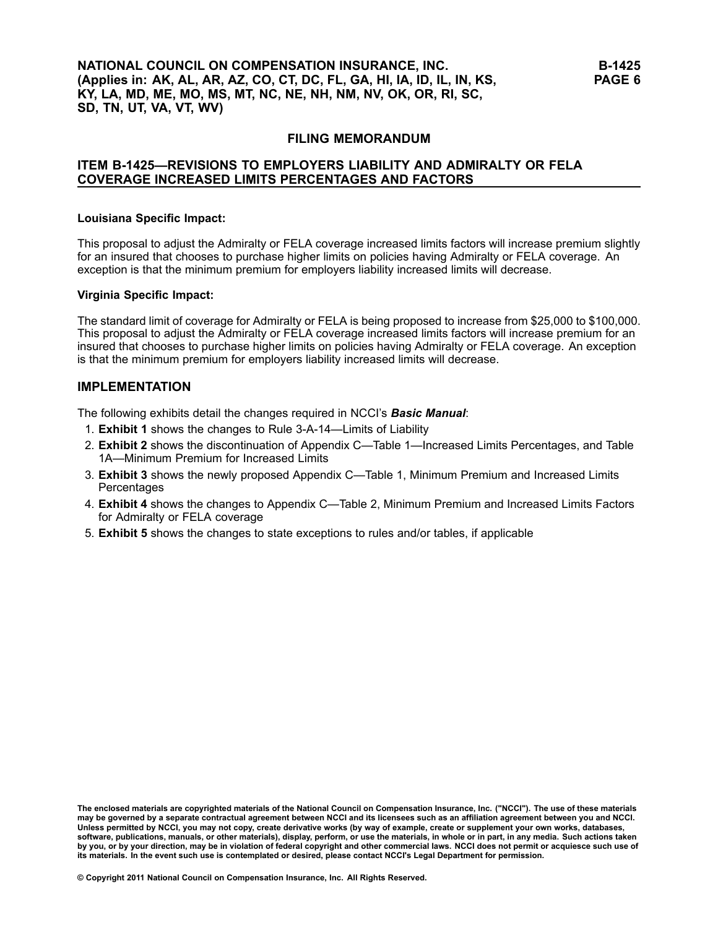### **NATIONAL COUNCIL ON COMPENSATION INSURANCE, INC. (Applies in: AK, AL, AR, AZ, CO, CT, DC, FL, GA, HI, IA, ID, IL, IN, KS, KY, LA, MD, ME, MO, MS, MT, NC, NE, NH, NM, NV, OK, OR, RI, SC, SD, TN, UT, VA, VT, WV)**

### **FILING MEMORANDUM**

## **ITEM B-1425—REVISIONS TO EMPLOYERS LIABILITY AND ADMIRALTY OR FELA COVERAGE INCREASED LIMITS PERCENTAGES AND FACTORS**

#### **Louisiana Specific Impact:**

This proposal to adjust the Admiralty or FELA coverage increased limits factors will increase premium slightly for an insured that chooses to purchase higher limits on policies having Admiralty or FELA coverage. An exception is that the minimum premium for employers liability increased limits will decrease.

#### **Virginia Specific Impact:**

The standard limit of coverage for Admiralty or FELA is being proposed to increase from \$25,000 to \$100,000. This proposal to adjust the Admiralty or FELA coverage increased limits factors will increase premium for an insured that chooses to purchase higher limits on policies having Admiralty or FELA coverage. An exception is that the minimum premium for employers liability increased limits will decrease.

### **IMPLEMENTATION**

The following exhibits detail the changes required in NCCI's *Basic Manual*:

- 1. **Exhibit 1** shows the changes to Rule 3-A-14—Limits of Liability
- 2. **Exhibit 2** shows the discontinuation of Appendix C—Table 1—Increased Limits Percentages, and Table 1A—Minimum Premium for Increased Limits
- 3. **Exhibit 3** shows the newly proposed Appendix C—Table 1, Minimum Premium and Increased Limits **Percentages**
- 4. **Exhibit 4** shows the changes to Appendix C—Table 2, Minimum Premium and Increased Limits Factors for Admiralty or FELA coverage
- 5. **Exhibit 5** shows the changes to state exceptions to rules and/or tables, if applicable

The enclosed materials are copyrighted materials of the National Council on Compensation Insurance, Inc. ("NCCI"). The use of these materials<br>may be governed by a separate contractual agreement between NCCI and its license Unless permitted by NCCI, you may not copy, create derivative works (by way of example, create or supplement your own works, databases, software, publications, manuals, or other materials), display, perform, or use the materials, in whole or in part, in any media. Such actions taken by you, or by your direction, may be in violation of federal copyright and other commercial laws. NCCI does not permit or acquiesce such use of its materials. In the event such use is contemplated or desired, please contact NCCI's Legal Department for permission.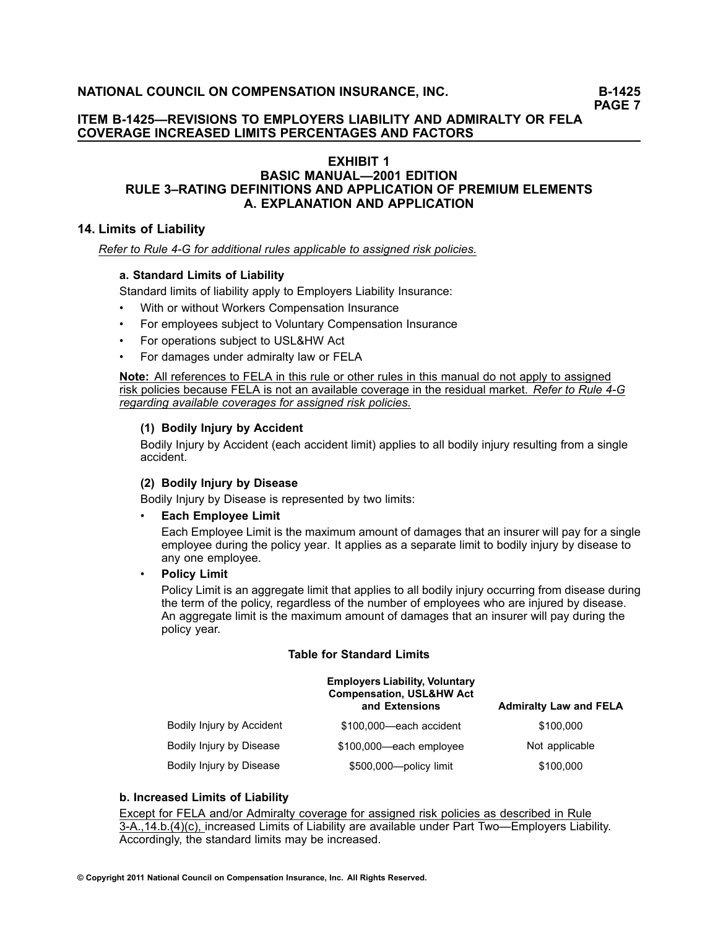## **ITEM B-1425—REVISIONS TO EMPLOYERS LIABILITY AND ADMIRALTY OR FELA COVERAGE INCREASED LIMITS PERCENTAGES AND FACTORS**

## **EXHIBIT 1**

### **BASIC MANUAL—2001 EDITION RULE 3–RATING DEFINITIONS AND APPLICATION OF PREMIUM ELEMENTS A. EXPLANATION AND APPLICATION**

### **14. Limits of Liability**

#### *Refer to Rule 4-G for additional rules applicable to assigned risk policies.*

### **a. Standard Limits of Liability**

Standard limits of liability apply to [Employers](/manuscript/hyperlink.asp?docid=Glossary-EmployersLiabilityInsurance&manualtitle=glossary) Liability Insurance:

- •With or without Workers Compensation Insurance
- •For employees subject to Voluntary [Compensation](/manuscript/hyperlink.asp?docid=Glossary-VoluntaryCompensation&manualtitle=glossary) Insurance
- •For operations subject to USL&HW Act
- •For damages under admiralty law or FELA

**Note:** All references to FELA in this rule or other rules in this manual do not apply to assigned risk policies because FELA is not an available coverage in the residual market. *Refer to Rule 4-G regarding available coverages for assigned risk policies.*

### **(1) Bodily Injury by Accident**

Bodily Injury by Accident (each accident limit) applies to all bodily injury resulting from <sup>a</sup> single accident.

### **(2) Bodily Injury by Disease**

Bodily Injury by Disease is represented by two limits:

#### •**Each Employee Limit**

Each Employee Limit is the maximum amount of damages that an insurer will pay for <sup>a</sup> single employee during the [policy](/manuscript/hyperlink.asp?docid=Glossary-PolicyYear&manualtitle=glossary) year. It applies as <sup>a</sup> separate limit to bodily injury by disease to any one employee.

•**Policy Limit**

> Policy Limit is an aggregate limit that applies to all bodily injury occurring from disease during the term of the policy, regardless of the number of employees who are injured by disease. An aggregate limit is the maximum amount of damages that an insurer will pay during the policy year.

#### **Table for Standard Limits**

|                           | <b>Employers Liability, Voluntary</b><br><b>Compensation, USL&amp;HW Act</b><br>and Extensions | <b>Admiralty Law and FELA</b> |
|---------------------------|------------------------------------------------------------------------------------------------|-------------------------------|
| Bodily Injury by Accident | \$100,000—each accident                                                                        | \$100,000                     |
| Bodily Injury by Disease  | \$100,000—each employee                                                                        | Not applicable                |
| Bodily Injury by Disease  | \$500,000-policy limit                                                                         | \$100,000                     |

### **b. Increased Limits of Liability**

Except for FELA and/or Admiralty coverage for assigned risk policies as described in Rule 3-A.,14.b.(4)(c), increased Limits of Liability are available under Part Two—Employers Liability. Accordingly, the standard limits may be increased.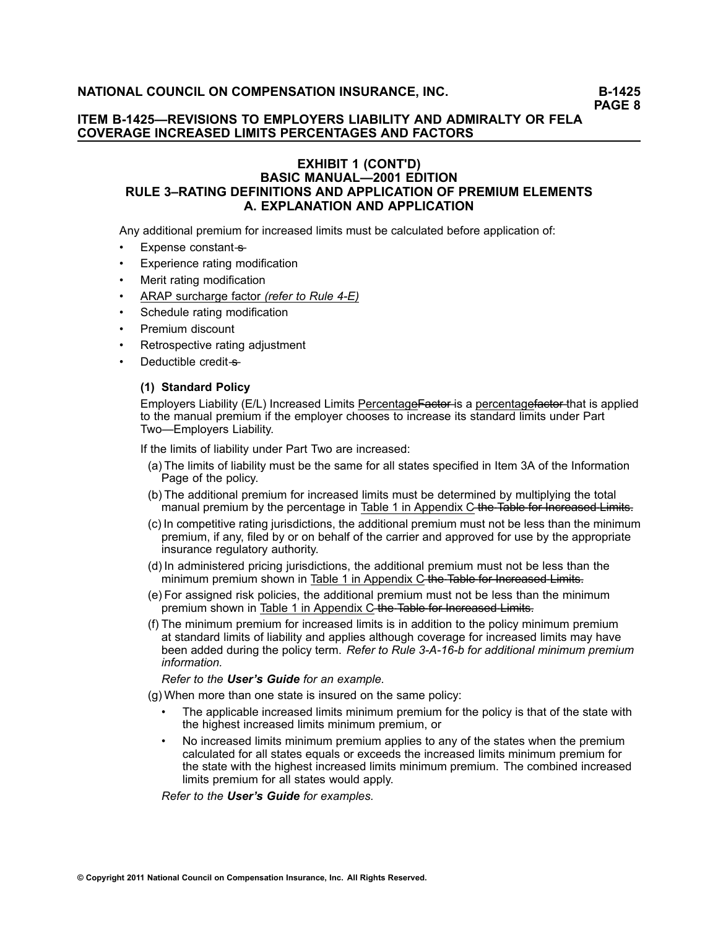### **ITEM B-1425—REVISIONS TO EMPLOYERS LIABILITY AND ADMIRALTY OR FELA COVERAGE INCREASED LIMITS PERCENTAGES AND FACTORS**

### **EXHIBIT 1 (CONT'D) BASIC MANUAL—2001 EDITION RULE 3–RATING DEFINITIONS AND APPLICATION OF PREMIUM ELEMENTS A. EXPLANATION AND APPLICATION**

Any additional premium for increased limits must be calculated before application of:

- •Expense constant-s-
- •Experience rating modification
- •Merit rating modification
- •ARAP surcharge factor *(refer to Rule 4-E)*
- •[Schedule](/manuscript/hyperlink.asp?docid=Glossary-ScheduleRating&manualtitle=glossary) rating modification
- •Premium discount
- •Retrospective rating adjustment
- •Deductible credit-s-

### **(1) Standard Policy**

Employers Liability (E/L) Increased Limits PercentageFactor-is a percentagefactor-that is applied to the manual premium if the employer chooses to increase its standard limits under Part Two—Employers Liability.

If the limits of liability under Part Two are increased:

- (a) The limits of liability must be the same for all states specified in Item 3A of the Information Page of the policy.
- (b) The additional premium for increased limits must be determined by multiplying the total manual premium by the percentage in Table 1 in Appendix C–the–Table for Increased Limits.
- (c) In competitive rating jurisdictions, the additional premium must not be less than the minimum premium, if any, filed by or on behalf of the carrier and approved for use by the appropriate insurance regulatory authority.
- (d) In administered pricing jurisdictions, the additional premium must not be less than the minimum premium shown in Table 1 in Appendix C-the-Table for Increased Limits.
- (e) For assigned risk policies, the additional premium must not be less than the minimum premium shown in Table 1 in Appendix C the Table for Increased Limits.
- (f) The minimum premium for increased limits is in addition to the policy minimum premium at standard limits of liability and applies although coverage for increased limits may have been added during the policy term. *Refer to Rule 3-A-16-b for additional minimum premium information.*

*Refer to the [User's](/manuscript/hyperlink.asp?docid=UsersGuide-G-Examples-Rule3-A-14-b-1-f) Guide for an example.*

(g) When more than one state is insured on the same policy:

- • The applicable increased limits minimum premium for the policy is that of the state with the highest increased limits minimum premium, or
- • No increased limits minimum premium applies to any of the states when the premium calculated for all states equals or exceeds the increased limits minimum premium for the state with the highest increased limits minimum premium. The combined increased limits premium for all states would apply.

*Refer to the [User's](https://www.ncci.com/onlinemanuals/default.aspx?ManualTitle=Basicusersguide&ManualURL=/Manuals/usersguide/national/UsersGuide.htm&ManualState=NATIONAL) Guide for examples.*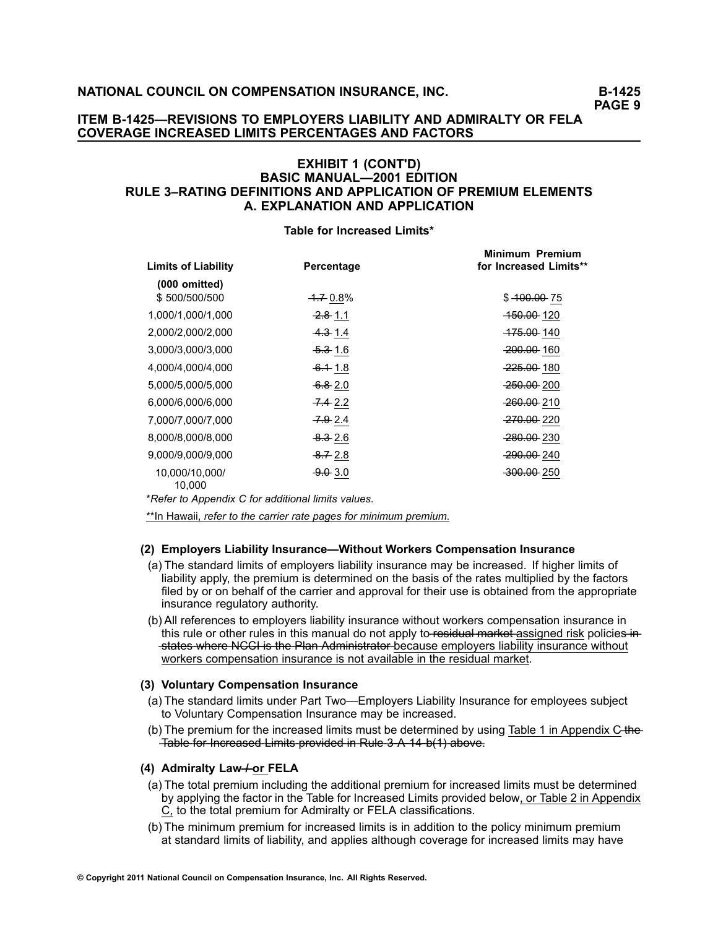### **ITEM B-1425—REVISIONS TO EMPLOYERS LIABILITY AND ADMIRALTY OR FELA COVERAGE INCREASED LIMITS PERCENTAGES AND FACTORS**

### **EXHIBIT 1 (CONT'D) BASIC MANUAL—2001 EDITION RULE 3–RATING DEFINITIONS AND APPLICATION OF PREMIUM ELEMENTS A. EXPLANATION AND APPLICATION**

#### **Table for Increased Limits\***

| <b>Limits of Liability</b> | Percentage          | Minimum Premium<br>for Increased Limits** |
|----------------------------|---------------------|-------------------------------------------|
| $(000$ omitted)            |                     |                                           |
| \$500/500/500              | $-1.70.8\%$         | $$400.00$ 75                              |
| 1,000/1,000/1,000          | <del>2.8</del> 1.1  | <del>150.00</del> 120                     |
| 2,000/2,000/2,000          | <del>4.3</del> 1.4  | <del>175.00</del> 140                     |
| 3,000/3,000/3,000          | <del>5.3</del> 1.6  | 200.00 160                                |
| 4,000/4,000/4,000          | $-6.118$            | <del>225.00</del> -180                    |
| 5,000/5,000/5,000          | $-6.82.0$           | <del>250.00</del> 200                     |
| 6,000/6,000/6,000          | $-7.42.2$           | 260.00 210                                |
| 7,000/7,000/7,000          | <del>7.9</del> 2.4  | <del>270.00</del> 220                     |
| 8,000/8,000/8,000          | <del>8.3</del> 2.6  | 280.00 230                                |
| 9,000/9,000/9,000          | <del>-8.7</del> 2.8 | <del>290.00</del> 240                     |
| 10,000/10,000/<br>10.000   | $-9.0.3.0$          | 300.00 250                                |

\**Refer to [Appendix](/manuscript/hyperlink.asp?docid=Basic2001AppendixC-TableI) C for additional limits values*.

\*\*In Hawaii, *refer to the carrier rate pages for minimum premium*.

#### **(2) Employers Liability Insurance—Without Workers Compensation Insurance**

- (a) The standard limits of employers liability insurance may be increased. If higher limits of liability apply, the premium is determined on the basis of the rates multiplied by the factors filed by or on behalf of the carrier and approval for their use is obtained from the appropriate insurance regulatory authority.
- (b) All references to employers liability insurance without workers compensation insurance in this rule or other rules in this manual do not apply to-residual market assigned risk policies in-**Exates where NCCL is the Plan Administrator-because employers liability insurance without** workers compensation insurance is not available in the residual market.

#### **(3) Voluntary Compensation Insurance**

- (a) The standard limits under Part Two—Employers Liability Insurance for employees subject to Voluntary Compensation Insurance may be increased.
- (b) The premium for the increased limits must be determined by using Table 1 in Appendix  $C<sub>+</sub>$ Table for Increased Limits provided in Rule 3 A 14 b(1) above.

### **(4) Admiralty Law—/ or FELA**

- (a) The total premium including the additional premium for increased limits must be determined by applying the factor in the Table for Increased Limits provided below, or Table 2 in Appendix C, to the total premium for Admiralty or FELA classifications.
- (b) The minimum premium for increased limits is in addition to the policy minimum premium at standard limits of liability, and applies although coverage for increased limits may have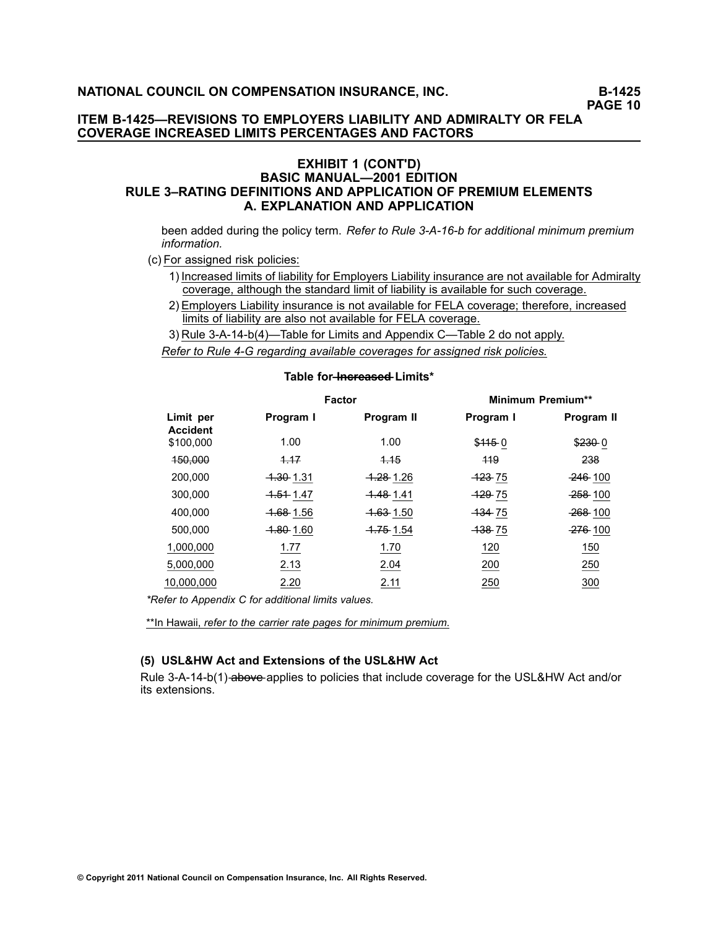### **ITEM B-1425—REVISIONS TO EMPLOYERS LIABILITY AND ADMIRALTY OR FELA COVERAGE INCREASED LIMITS PERCENTAGES AND FACTORS**

### **EXHIBIT 1 (CONT'D) BASIC MANUAL—2001 EDITION RULE 3–RATING DEFINITIONS AND APPLICATION OF PREMIUM ELEMENTS A. EXPLANATION AND APPLICATION**

been added during the policy term. *Refer to Rule [3-A-16-b](/manuscript/hyperlink.asp?docid=Basic2001rule3-A&manualtitle-basicrewritexml) for additional minimum premium information.*

(c) For assigned risk policies:

- 1) Increased limits of liability for Employers Liability insurance are not available for Admiralty coverage, although the standard limit of liability is available for such coverage.
- 2) Employers Liability insurance is not available for FELA coverage; therefore, increased limits of liability are also not available for FELA coverage.
- 3) Rule 3-A-14-b(4)—Table for Limits and Appendix C—Table 2 do not apply.

*Refer to Rule 4-G regarding available coverages for assigned risk policies.*

|                              |                      | <b>Factor</b>        | <b>Minimum Premium**</b> |                |  |  |  |  |
|------------------------------|----------------------|----------------------|--------------------------|----------------|--|--|--|--|
| Limit per<br><b>Accident</b> | Program I            | Program II           | Program I                | Program II     |  |  |  |  |
| \$100,000                    | 1.00                 | 1.00                 | \$4450                   | \$2300         |  |  |  |  |
| 450,000                      | 4.17                 | 4.15                 | 419                      | 238            |  |  |  |  |
| 200,000                      | <del>1.30</del> 1.31 | <del>1.28</del> 1.26 | <del>123</del> 75        | $-246 - 100$   |  |  |  |  |
| 300,000                      | <del>1.51</del> 1.47 | <del>1.48</del> 1.41 | <del>-129</del> 75       | 258-100        |  |  |  |  |
| 400.000                      | <del>1.68</del> 1.56 | <del>1.63</del> 1.50 | 43475                    | <b>268-100</b> |  |  |  |  |
| 500,000                      | <del>1.80</del> 1.60 | <del>1.75</del> 1.54 | <del>138</del> 75        | <b>276</b> 100 |  |  |  |  |
| 1,000,000                    | 1.77                 | 1.70                 | 120                      | 150            |  |  |  |  |
| 5,000,000                    | 2.13                 | 2.04                 | 200                      | 250            |  |  |  |  |
| 10,000,000                   | 2.20                 | 2.11                 | 250                      | 300            |  |  |  |  |
|                              |                      |                      |                          |                |  |  |  |  |

### $Table for **Hence and Limits***$

*\*Refer to [Appendix](/manuscript/hyperlink.asp?docid=Basic2001AppendixC-TableII) C for additional limits values.*

\*\*In Hawaii, *refer to the carrier rate pages for minimum premium*.

#### **(5) USL&HW Act and Extensions of the USL&HW Act**

Rule 3-A-14-b(1)-above-applies to policies that include coverage for the USL&HW Act and/or its extensions.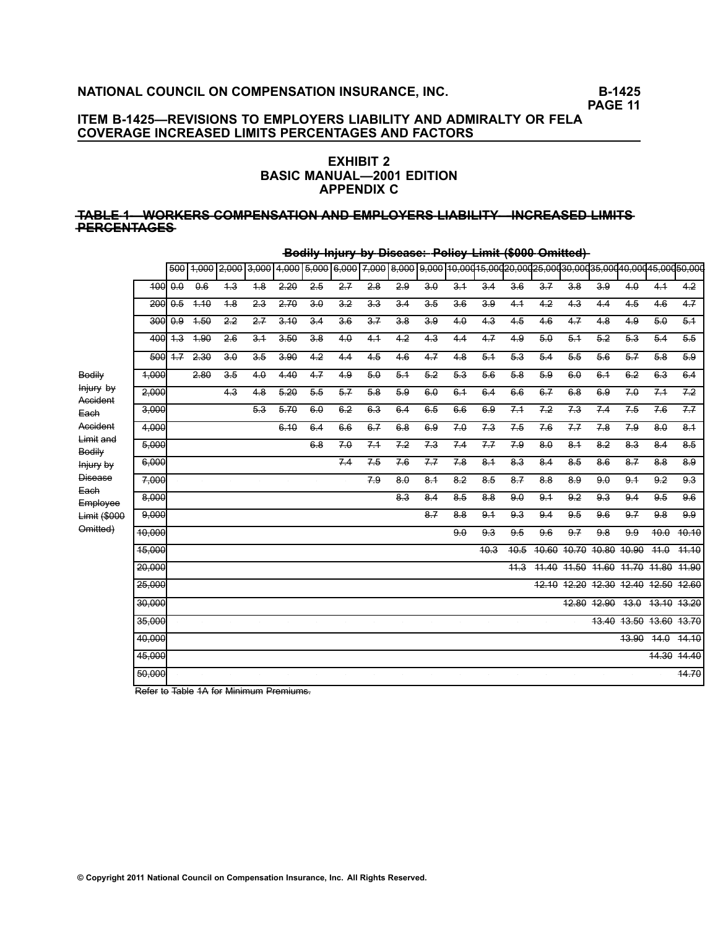## **ITEM B-1425—REVISIONS TO EMPLOYERS LIABILITY AND ADMIRALTY OR FELA COVERAGE INCREASED LIMITS PERCENTAGES AND FACTORS**

### **EXHIBIT 2 BASIC MANUAL—2001 EDITION APPENDIX C**

#### **—T—A—B—L—E—1—W——O—R—K—E—R—S—C—O—M—P—E—N—S—A—T—I—O—N—A—N—D—E—M—P—L—O—Y—E—R—S—L—I—A—B—I—L—I—T—Y—I——N—C—R—E—A—S—E—D—L—I—M—I—T—S —P—E—R—C—E—N—T—A—G—E—S**

|                                 |        | 500                 |       | 1,000 2,000      | 3,000 | 4,000 5,000 |                  |                  | 6,000 7,000 8,000 |                  |                  |                  |                 |                      |                  |                  |                                     |                  |                  | 9,000 10,000 15,000 20,000 25,000 30,000 35,000 40,000 45,000 50,000 |
|---------------------------------|--------|---------------------|-------|------------------|-------|-------------|------------------|------------------|-------------------|------------------|------------------|------------------|-----------------|----------------------|------------------|------------------|-------------------------------------|------------------|------------------|----------------------------------------------------------------------|
|                                 | 400    | $\theta$ . $\theta$ | 0.6   | $\overline{+3}$  | 4.8   | 2.20        | $\overline{2.5}$ | $2 - 7$          | 2.8               | 2.9              | $\overline{3.0}$ | 3.4              | 3.4             | 3.6                  | 3.7              | 3.8              | 3.9                                 | 4.0              | 4.1              | 4.2                                                                  |
|                                 | 200    | 0.5                 | 4.10  | 4.8              | 2.3   | 2.70        | 3.0              | 3.2              | 3.3               | 3.4              | 3.5              | 3.6              | 3.9             | 4.1                  | 4.2              | 4.3              | 4.4                                 | 4.5              | 4.6              | $\overline{4.7}$                                                     |
|                                 | 300    | 0.9                 | $+50$ | $\overline{2.2}$ | 2.7   | 3.10        | $\overline{3.4}$ | $\overline{3.6}$ | $\overline{3.7}$  | $\overline{3.8}$ | $\overline{3.9}$ | 4.0              | $\overline{43}$ | $\overline{4.5}$     | 4.6              | $\overline{4.7}$ | 4.8                                 | 4.9              | 5.0              | 5.1                                                                  |
|                                 | 400    | $4-3$               | 4.90  | 2.6              | 3.1   | 3.50        | 3.8              | 4.0              | 4.1               | 4.2              | 4.3              | 4.4              | 4.7             | 4.9                  | 5.0              | 5.1              | 5.2                                 | 5.3              | $5-4$            | 5.5                                                                  |
|                                 | 500    | $+7$                | 2.30  | 3.0              | 3.5   | 3.90        | 4.2              | 4.4              | 4.5               | 4.6              | 47               | 4.8              | $5-1$           | $5-3$                | $5-4$            | 5.5              | 5.6                                 | $5-7$            | 5.8              | 5.9                                                                  |
| Bodily                          | 4,000  |                     | 2.80  | 3.5              | 4.0   | 4.40        | 4.7              | 4.9              | 5.0               | 5.1              | 5.2              | 5.3              | 5.6             | 5.8                  | 5.9              | $6.\theta$       | $6-1$                               | 6.2              | 6.3              | 6.4                                                                  |
| Injury by<br>Accident           | 2.000  |                     |       | 4.3              | 4.8   | 5.20        | 5.5              | $5 - 7$          | 5.8               | 5.9              | $6.\theta$       | 6.1              | 6.4             | 6.6                  | 6.7              | 6.8              | 6.9                                 | 7.0              | 7.1              | 7.2                                                                  |
| Each                            | 3,000  |                     |       |                  | 5.3   | 5.70        | 6.0              | 6.2              | 6.3               | $6-4$            | 6.5              | 6.6              | 6.9             | 7.1                  | 7.2              | 7.3              | 7.4                                 | 7.5              | 7.6              | 7.7                                                                  |
| Accident<br>Limit and           | 4,000  |                     |       |                  |       | 6.10        | 6.4              | 6.6              | 6.7               | 6.8              | 6.9              | 7.0              | 7.3             | $7-5$                | 7.6              | 7.7              | 78                                  | 7.9              | 8.0              | 8.1                                                                  |
| Bodily                          | 5.000  |                     |       |                  |       |             | 6.8              | 7.0              | 7.1               | 7.2              | 7.3              | 7.4              | 7.7             | 7.9                  | 8.0              | 8.1              | 8.2                                 | 8.3              | $8-4$            | 8.5                                                                  |
| Injury by                       | 6.000  |                     |       |                  |       |             |                  | 74               | 7.5               | 7.6              | 7.7              | 78               | 8.1             | 8.3                  | 8.4              | 8.5              | 8.6                                 | $\overline{8.7}$ | 8.8              | $\overline{8.9}$                                                     |
| <b>Disease</b><br>Each          | 7,000  |                     |       |                  |       |             |                  |                  | 7.9               | 8.0              | $8-1$            | 8.2              | 8.5             | $8 - 7$              | 8.8              | 8.9              | 9.0                                 | 9.1              | 9.2              | 9.3                                                                  |
| Employee                        | 8.000  |                     |       |                  |       |             |                  |                  |                   | 8.3              | 8.4              | 8.5              | 8.8             | 9.0                  | 9.1              | 9.2              | 9.3                                 | 9.4              | 9.5              | 9.6                                                                  |
| <b>Limit (\$000</b><br>Omitted) | 9,000  |                     |       |                  |       |             |                  |                  |                   |                  | $8 - 7$          | 8.8              | 9.1             | 9.3                  | 9.4              | 9.5              | 9.6                                 | 9.7              | 9.8              | 9.9                                                                  |
|                                 | 10.000 |                     |       |                  |       |             |                  |                  |                   |                  |                  | $\overline{9.0}$ | 9.3             | 9.5                  | $\overline{9.6}$ | 9.7              | 9.8                                 | $\overline{9.9}$ | $\frac{40.0}{x}$ | 10.10                                                                |
|                                 | 15.000 |                     |       |                  |       |             |                  |                  |                   |                  |                  |                  | 40.3            | 40.5                 | 40.60            | 40.70            | 40.80                               | 40.90            | 44.0             | 44.40                                                                |
|                                 | 20.000 |                     |       |                  |       |             |                  |                  |                   |                  |                  |                  |                 | 44.3                 | 44.40            | 44.50            | 41.60                               | 41.70            | 41.80            | 41.90                                                                |
|                                 | 25.000 |                     |       |                  |       |             |                  |                  |                   |                  |                  |                  |                 |                      |                  |                  | 12.10 12.20 12.30 12.40 12.50 12.60 |                  |                  |                                                                      |
|                                 | 30.000 |                     |       |                  |       |             |                  | $\sim$           |                   |                  | $\sim$           |                  | $\sim$          | $\ddot{\phantom{a}}$ |                  | 12.80            | 12.90                               | 43.0             |                  | 13.10 13.20                                                          |
|                                 | 35,000 |                     |       |                  |       |             |                  |                  |                   |                  |                  |                  |                 |                      |                  |                  | 13.40                               |                  |                  | 43.50 43.60 43.70                                                    |
|                                 | 40.000 |                     |       |                  |       |             |                  |                  |                   |                  |                  |                  |                 |                      |                  |                  |                                     | 43.90            | 44.0             | 44.10                                                                |
|                                 | 45.000 |                     |       |                  |       |             |                  |                  |                   |                  |                  |                  |                 |                      |                  |                  |                                     |                  |                  | 14.30 14.40                                                          |
|                                 | 50.000 |                     |       |                  |       |             |                  |                  |                   |                  |                  |                  |                 |                      |                  |                  |                                     |                  |                  | 44.70                                                                |

**-Bodily Injury by Disease: Policy Limit (\$000 Omitted)** 

Refer to Table 1A for Minimum Premiums.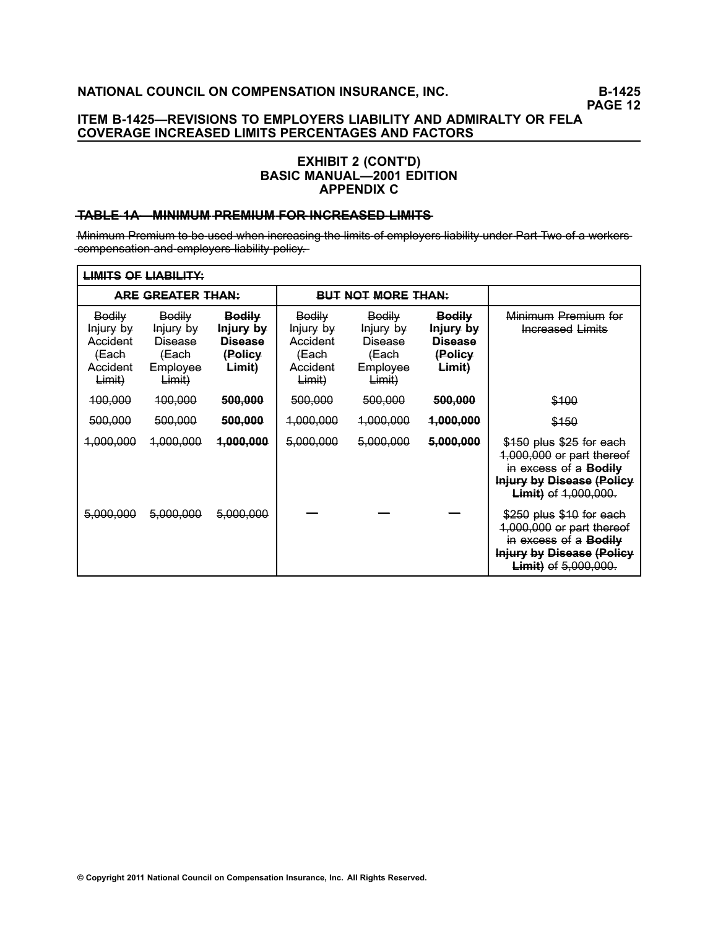## **ITEM B-1425—REVISIONS TO EMPLOYERS LIABILITY AND ADMIRALTY OR FELA COVERAGE INCREASED LIMITS PERCENTAGES AND FACTORS**

### **EXHIBIT 2 (CONT'D) BASIC MANUAL—2001 EDITION APPENDIX C**

### **HABLE 1A MINIMUM PREMIUM FOR INCREASED LIMITS**

Minimum Premium to be used when increasing the limits of employers liability under Part Two of a workers--compensation and employers liability policy.

| <b>LIMITS OF LIABILITY:</b>                                    |                                                                      |                                                                   |                                                                |                                                                      |                                                                   |                                                                                                                                                          |  |  |  |
|----------------------------------------------------------------|----------------------------------------------------------------------|-------------------------------------------------------------------|----------------------------------------------------------------|----------------------------------------------------------------------|-------------------------------------------------------------------|----------------------------------------------------------------------------------------------------------------------------------------------------------|--|--|--|
|                                                                | <b>ARE GREATER THAN:</b>                                             |                                                                   |                                                                | <b>BUT NOT MORE THAN:</b>                                            |                                                                   |                                                                                                                                                          |  |  |  |
| Bodily<br>Injury by<br>Accident<br>(Each<br>Accident<br>Limit) | Bodily<br>Injury by<br><b>Disease</b><br>(Each<br>Employee<br>Limit) | <b>Bodily</b><br>Injury by<br><b>Disease</b><br>(Policy<br>Limit) | Bodily<br>Injury by<br>Accident<br>(Each<br>Accident<br>Limit) | Bodily<br>Injury by<br><b>Disease</b><br>(Each<br>Employee<br>Limit) | <b>Bodily</b><br>Injury by<br><b>Disease</b><br>(Policy<br>Limit) | Minimum Premium for<br>Increased Limits                                                                                                                  |  |  |  |
| 100,000                                                        | 100,000                                                              | 500,000                                                           | 500,000                                                        | 500,000                                                              | 500,000                                                           | \$100                                                                                                                                                    |  |  |  |
| 500,000                                                        | 500,000                                                              | 500,000                                                           | 1,000,000                                                      | 1,000,000                                                            | 1,000,000                                                         | \$150                                                                                                                                                    |  |  |  |
| 1,000,000                                                      | 1,000,000                                                            | 4,000,000                                                         | 5,000,000                                                      | 5,000,000                                                            | 5,000,000                                                         | \$150 plus \$25 for each<br>1,000,000 or part thereof<br>in excess of a <b>Bodily</b><br><b>Injury by Disease (Policy</b><br><b>Limit)</b> of 1,000,000. |  |  |  |
| 5,000,000                                                      | 5,000,000                                                            | 5,000,000                                                         |                                                                |                                                                      |                                                                   | \$250 plus \$10 for each<br>1,000,000 or part thereof<br>in excess of a <b>Bodily</b><br><b>Injury by Disease (Policy</b><br>Limit) of 5,000,000.        |  |  |  |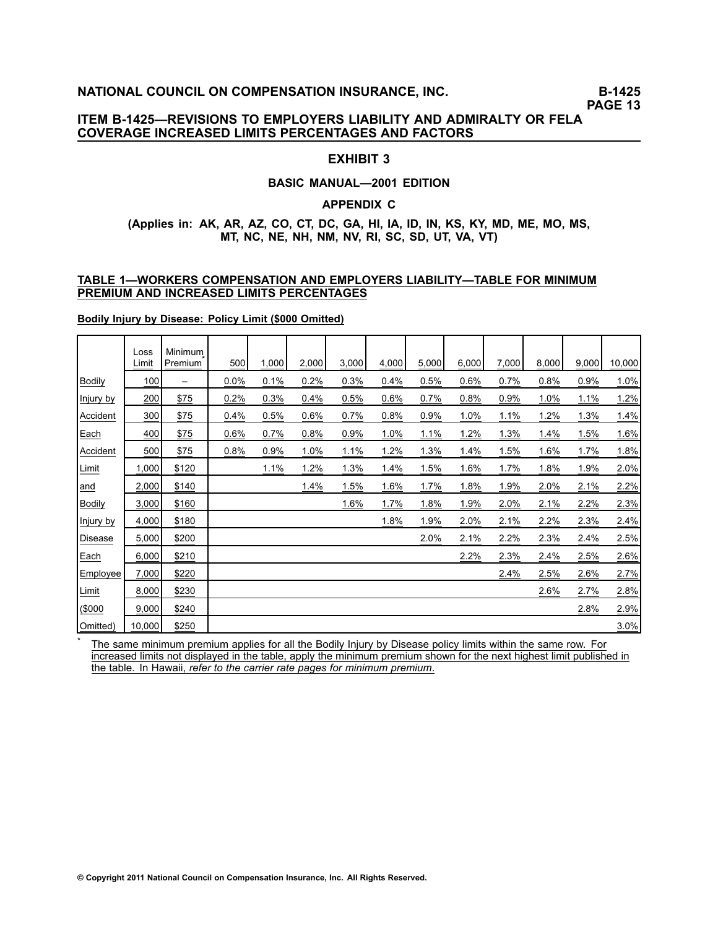### **ITEM B-1425—REVISIONS TO EMPLOYERS LIABILITY AND ADMIRALTY OR FELA COVERAGE INCREASED LIMITS PERCENTAGES AND FACTORS**

### **EXHIBIT 3**

#### **BASIC MANUAL—2001 EDITION**

#### **APPENDIX C**

### **(Applies in: AK, AR, AZ, CO, CT, DC, GA, HI, IA, ID, IN, KS, KY, MD, ME, MO, MS, MT, NC, NE, NH, NM, NV, RI, SC, SD, UT, VA, VT)**

#### **TABLE 1—WORKERS COMPENSATION AND EMPLOYERS LIABILITY—TABLE FOR MINIMUM PREMIUM AND INCREASED LIMITS PERCENTAGES**

**Bodily Injury by Disease: Policy Limit (\$000 Omitted)**

\*

|               | Loss<br>Limit | Minimum<br>Premium       | 500  | 1,000 | 2,000 | 3,000 | 4,000 | 5,000 | 6,000 | 7,000 | 8,000 | 9,000 | 10,000 |
|---------------|---------------|--------------------------|------|-------|-------|-------|-------|-------|-------|-------|-------|-------|--------|
| <b>Bodily</b> | 100           | $\overline{\phantom{0}}$ | 0.0% | 0.1%  | 0.2%  | 0.3%  | 0.4%  | 0.5%  | 0.6%  | 0.7%  | 0.8%  | 0.9%  | 1.0%   |
| Injury by     | 200           | \$75                     | 0.2% | 0.3%  | 0.4%  | 0.5%  | 0.6%  | 0.7%  | 0.8%  | 0.9%  | 1.0%  | 1.1%  | 1.2%   |
| Accident      | 300           | \$75                     | 0.4% | 0.5%  | 0.6%  | 0.7%  | 0.8%  | 0.9%  | 1.0%  | 1.1%  | 1.2%  | 1.3%  | 1.4%   |
| Each          | 400           | \$75                     | 0.6% | 0.7%  | 0.8%  | 0.9%  | 1.0%  | 1.1%  | 1.2%  | 1.3%  | 1.4%  | 1.5%  | 1.6%   |
| Accident      | 500           | \$75                     | 0.8% | 0.9%  | 1.0%  | 1.1%  | 1.2%  | 1.3%  | 1.4%  | 1.5%  | 1.6%  | 1.7%  | 1.8%   |
| Limit         | 1,000         | \$120                    |      | 1.1%  | 1.2%  | 1.3%  | 1.4%  | 1.5%  | 1.6%  | 1.7%  | 1.8%  | 1.9%  | 2.0%   |
| and           | 2,000         | \$140                    |      |       | 1.4%  | 1.5%  | 1.6%  | 1.7%  | 1.8%  | 1.9%  | 2.0%  | 2.1%  | 2.2%   |
| <b>Bodily</b> | 3,000         | \$160                    |      |       |       | 1.6%  | 1.7%  | 1.8%  | 1.9%  | 2.0%  | 2.1%  | 2.2%  | 2.3%   |
| Injury by     | 4,000         | \$180                    |      |       |       |       | 1.8%  | 1.9%  | 2.0%  | 2.1%  | 2.2%  | 2.3%  | 2.4%   |
| Disease       | 5,000         | \$200                    |      |       |       |       |       | 2.0%  | 2.1%  | 2.2%  | 2.3%  | 2.4%  | 2.5%   |
| Each          | 6,000         | \$210                    |      |       |       |       |       |       | 2.2%  | 2.3%  | 2.4%  | 2.5%  | 2.6%   |
| Employee      | 7,000         | \$220                    |      |       |       |       |       |       |       | 2.4%  | 2.5%  | 2.6%  | 2.7%   |
| Limit         | 8,000         | \$230                    |      |       |       |       |       |       |       |       | 2.6%  | 2.7%  | 2.8%   |
| \$000         | 9,000         | \$240                    |      |       |       |       |       |       |       |       |       | 2.8%  | 2.9%   |
| Omitted)      | 10,000        | \$250                    |      |       |       |       |       |       |       |       |       |       | 3.0%   |

The same minimum premium applies for all the Bodily Injury by Disease policy limits within the same row. For increased limits not displayed in the table, apply the minimum premium shown for the next highest limit published in the table. In Hawaii, *refer to the carrier rate pages for minimum premium*.